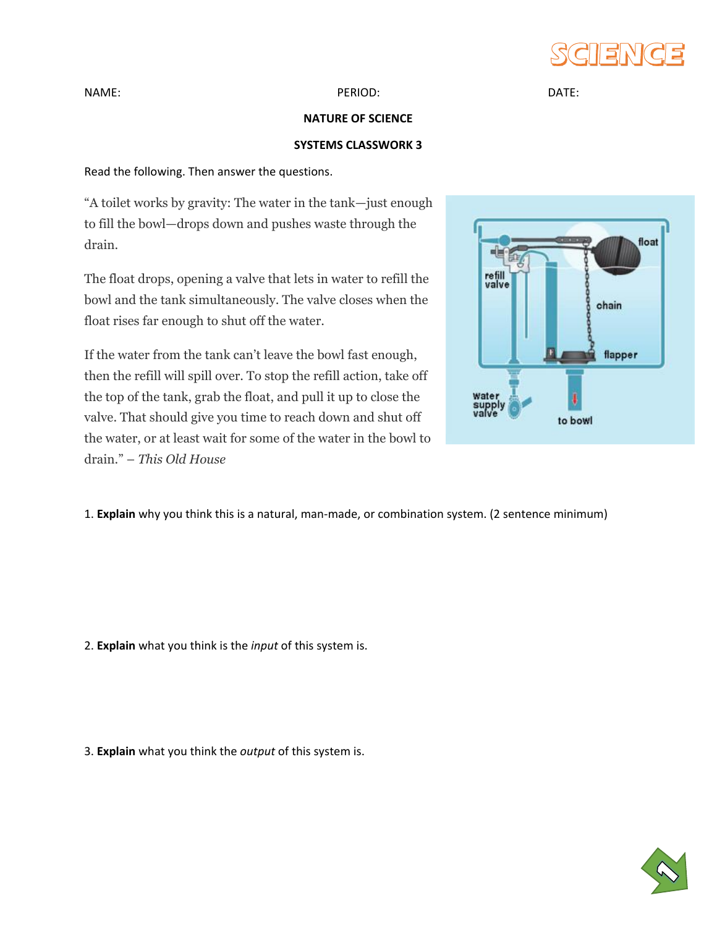

NAME: DATE: PERIOD: PERIOD: PERIOD: DATE:

## **NATURE OF SCIENCE**

## **SYSTEMS CLASSWORK 3**

Read the following. Then answer the questions.

"A toilet works by gravity: The water in the tank—just enough to fill the bowl—drops down and pushes waste through the drain.

The float drops, opening a valve that lets in water to refill the bowl and the tank simultaneously. The valve closes when the float rises far enough to shut off the water.

If the water from the tank can't leave the bowl fast enough, then the refill will spill over. To stop the refill action, take off the top of the tank, grab the float, and pull it up to close the valve. That should give you time to reach down and shut off the water, or at least wait for some of the water in the bowl to drain." – *This Old House*



1. **Explain** why you think this is a natural, man-made, or combination system. (2 sentence minimum)

2. **Explain** what you think is the *input* of this system is.

3. **Explain** what you think the *output* of this system is.